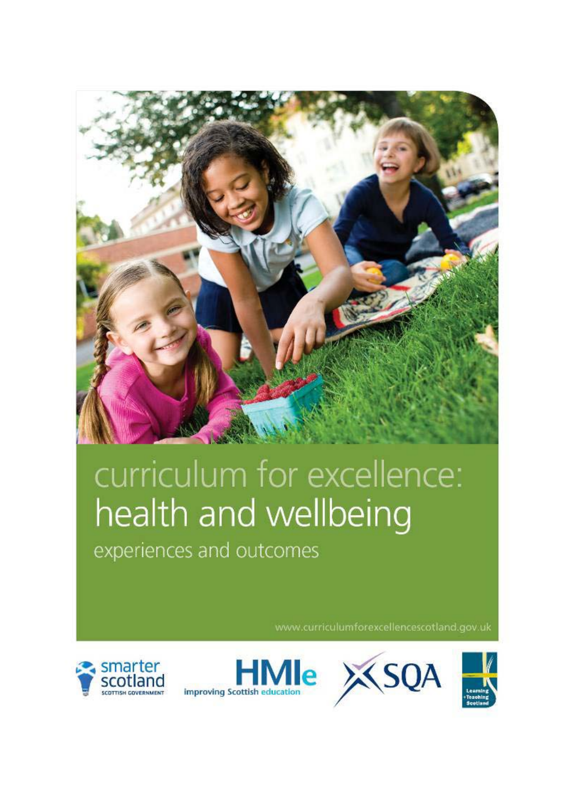

# curriculum for excellence: health and wellbeing

experiences and outcomes

www.curriculumforexcellencescotland.gov.uk







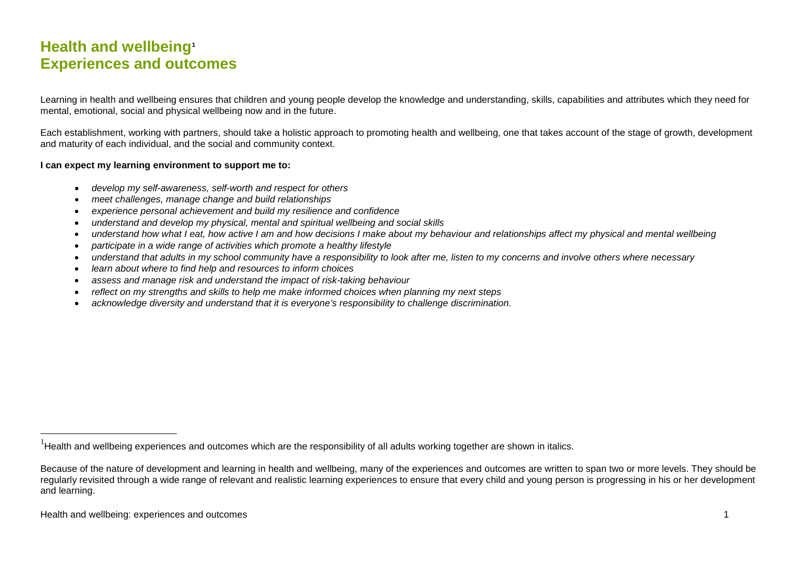## <span id="page-1-0"></span>**Health and wellbeing[1](#page-1-0) Experiences and outcomes**

Learning in health and wellbeing ensures that children and young people develop the knowledge and understanding, skills, capabilities and attributes which they need for mental, emotional, social and physical wellbeing now and in the future.

Each establishment, working with partners, should take a holistic approach to promoting health and wellbeing, one that takes account of the stage of growth, development and maturity of each individual, and the social and community context.

#### **I can expect my learning environment to support me to:**

- *develop my self-awareness, self-worth and respect for others*
- *meet challenges, manage change and build relationships*
- *experience personal achievement and build my resilience and confidence*
- *understand and develop my physical, mental and spiritual wellbeing and social skills*
- *understand how what I eat, how active I am and how decisions I make about my behaviour and relationships affect my physical and mental wellbeing*
- *participate in a wide range of activities which promote a healthy lifestyle*
- *understand that adults in my school community have a responsibility to look after me, listen to my concerns and involve others where necessary*
- *learn about where to find help and resources to inform choices*
- *assess and manage risk and understand the impact of risk-taking behaviour*
- *reflect on my strengths and skills to help me make informed choices when planning my next steps*
- *acknowledge diversity and understand that it is everyone's responsibility to challenge discrimination.*

 <sup>1</sup> Health and wellbeing experiences and outcomes which are the responsibility of all adults working together are shown in italics.

Because of the nature of development and learning in health and wellbeing, many of the experiences and outcomes are written to span two or more levels. They should be regularly revisited through a wide range of relevant and realistic learning experiences to ensure that every child and young person is progressing in his or her development and learning.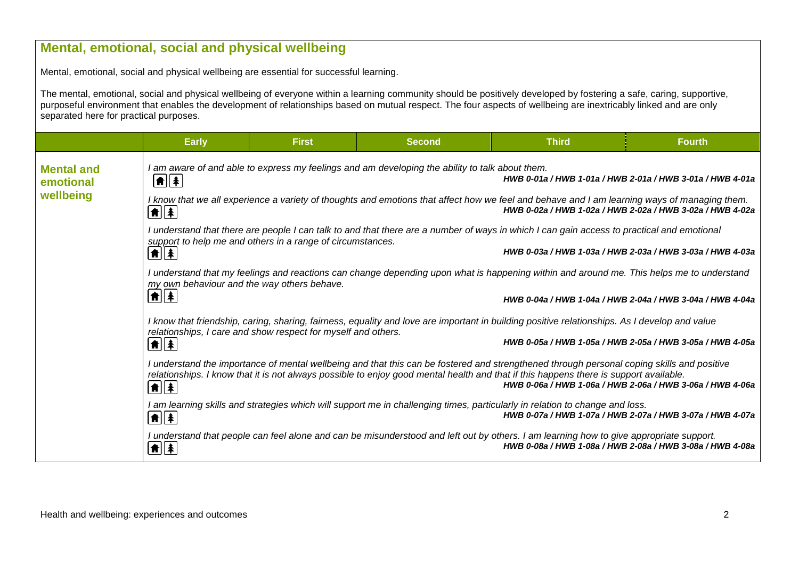|                                        | Mental, emotional, social and physical wellbeing                                                                                                                                                                                                                               |                                                                                                                                                                                                           |                                                                                                 |                                                                                                                                                                                                                                                                                                                                                  |                                                           |  |  |  |  |
|----------------------------------------|--------------------------------------------------------------------------------------------------------------------------------------------------------------------------------------------------------------------------------------------------------------------------------|-----------------------------------------------------------------------------------------------------------------------------------------------------------------------------------------------------------|-------------------------------------------------------------------------------------------------|--------------------------------------------------------------------------------------------------------------------------------------------------------------------------------------------------------------------------------------------------------------------------------------------------------------------------------------------------|-----------------------------------------------------------|--|--|--|--|
|                                        | Mental, emotional, social and physical wellbeing are essential for successful learning.                                                                                                                                                                                        |                                                                                                                                                                                                           |                                                                                                 |                                                                                                                                                                                                                                                                                                                                                  |                                                           |  |  |  |  |
| separated here for practical purposes. |                                                                                                                                                                                                                                                                                |                                                                                                                                                                                                           |                                                                                                 | The mental, emotional, social and physical wellbeing of everyone within a learning community should be positively developed by fostering a safe, caring, supportive,<br>purposeful environment that enables the development of relationships based on mutual respect. The four aspects of wellbeing are inextricably linked and are only         |                                                           |  |  |  |  |
|                                        | <b>Early</b>                                                                                                                                                                                                                                                                   | <b>First</b>                                                                                                                                                                                              | <b>Second</b>                                                                                   | <b>Third</b>                                                                                                                                                                                                                                                                                                                                     | <b>Fourth</b>                                             |  |  |  |  |
| <b>Mental and</b><br>emotional         | $\frac{ \bullet }{2}$                                                                                                                                                                                                                                                          |                                                                                                                                                                                                           | I am aware of and able to express my feelings and am developing the ability to talk about them. |                                                                                                                                                                                                                                                                                                                                                  | HWB 0-01a / HWB 1-01a / HWB 2-01a / HWB 3-01a / HWB 4-01a |  |  |  |  |
| wellbeing                              | $\left  \textbf{f} \right $                                                                                                                                                                                                                                                    | I know that we all experience a variety of thoughts and emotions that affect how we feel and behave and I am learning ways of managing them.<br>HWB 0-02a / HWB 1-02a / HWB 2-02a / HWB 3-02a / HWB 4-02a |                                                                                                 |                                                                                                                                                                                                                                                                                                                                                  |                                                           |  |  |  |  |
|                                        | I understand that there are people I can talk to and that there are a number of ways in which I can gain access to practical and emotional<br>support to help me and others in a range of circumstances.<br>HWB 0-03a / HWB 1-03a / HWB 2-03a / HWB 3-03a / HWB 4-03a<br> ♠  ≱ |                                                                                                                                                                                                           |                                                                                                 |                                                                                                                                                                                                                                                                                                                                                  |                                                           |  |  |  |  |
|                                        | I understand that my feelings and reactions can change depending upon what is happening within and around me. This helps me to understand<br>my own behaviour and the way others behave.                                                                                       |                                                                                                                                                                                                           |                                                                                                 |                                                                                                                                                                                                                                                                                                                                                  |                                                           |  |  |  |  |
|                                        | ♠  ≱                                                                                                                                                                                                                                                                           |                                                                                                                                                                                                           |                                                                                                 |                                                                                                                                                                                                                                                                                                                                                  | HWB 0-04a / HWB 1-04a / HWB 2-04a / HWB 3-04a / HWB 4-04a |  |  |  |  |
|                                        | I know that friendship, caring, sharing, fairness, equality and love are important in building positive relationships. As I develop and value<br>relationships, I care and show respect for myself and others.                                                                 |                                                                                                                                                                                                           |                                                                                                 |                                                                                                                                                                                                                                                                                                                                                  |                                                           |  |  |  |  |
|                                        | $ \hat{\mathbf{n}} $ $ $                                                                                                                                                                                                                                                       |                                                                                                                                                                                                           |                                                                                                 | HWB 0-05a / HWB 1-05a / HWB 2-05a / HWB 3-05a / HWB 4-05a                                                                                                                                                                                                                                                                                        |                                                           |  |  |  |  |
|                                        | $\left  \textbf{f} \right  \left  \textbf{f} \right $                                                                                                                                                                                                                          |                                                                                                                                                                                                           |                                                                                                 | I understand the importance of mental wellbeing and that this can be fostered and strengthened through personal coping skills and positive<br>relationships. I know that it is not always possible to enjoy good mental health and that if this happens there is support available.<br>HWB 0-06a / HWB 1-06a / HWB 2-06a / HWB 3-06a / HWB 4-06a |                                                           |  |  |  |  |
|                                        | $\left  \bm{\hat{\pi}} \right  \left  \bm{\hat{\ast}} \right $                                                                                                                                                                                                                 |                                                                                                                                                                                                           |                                                                                                 | I am learning skills and strategies which will support me in challenging times, particularly in relation to change and loss.                                                                                                                                                                                                                     | HWB 0-07a / HWB 1-07a / HWB 2-07a / HWB 3-07a / HWB 4-07a |  |  |  |  |
|                                        | $\left  \textbf{f} \right $                                                                                                                                                                                                                                                    |                                                                                                                                                                                                           |                                                                                                 | I understand that people can feel alone and can be misunderstood and left out by others. I am learning how to give appropriate support.                                                                                                                                                                                                          | HWB 0-08a / HWB 1-08a / HWB 2-08a / HWB 3-08a / HWB 4-08a |  |  |  |  |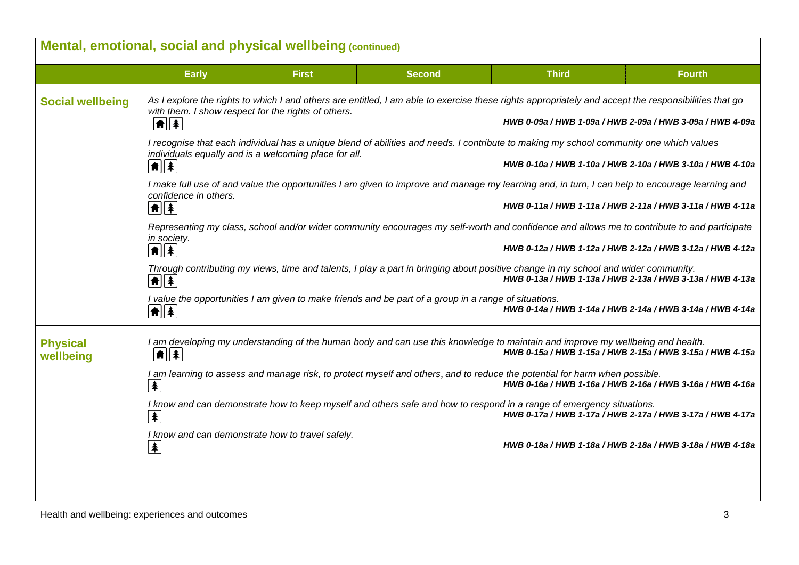|                              |                                                                                                                                                                                                                                                                                                                                                | Mental, emotional, social and physical wellbeing (continued) |               |                                                                                                                                                                                                             |               |  |  |  |  |
|------------------------------|------------------------------------------------------------------------------------------------------------------------------------------------------------------------------------------------------------------------------------------------------------------------------------------------------------------------------------------------|--------------------------------------------------------------|---------------|-------------------------------------------------------------------------------------------------------------------------------------------------------------------------------------------------------------|---------------|--|--|--|--|
|                              | <b>Early</b>                                                                                                                                                                                                                                                                                                                                   | <b>First</b>                                                 | <b>Second</b> | <b>Third</b>                                                                                                                                                                                                | <b>Fourth</b> |  |  |  |  |
| <b>Social wellbeing</b>      | As I explore the rights to which I and others are entitled, I am able to exercise these rights appropriately and accept the responsibilities that go<br>with them. I show respect for the rights of others.<br>HWB 0-09a / HWB 1-09a / HWB 2-09a / HWB 3-09a / HWB 4-09a<br>$ \hat{\mathbf{n}}  \hat{\mathbf{z}} $                             |                                                              |               |                                                                                                                                                                                                             |               |  |  |  |  |
|                              | I recognise that each individual has a unique blend of abilities and needs. I contribute to making my school community one which values<br>individuals equally and is a welcoming place for all.<br>HWB 0-10a / HWB 1-10a / HWB 2-10a / HWB 3-10a / HWB 4-10a<br>$  \hat{\mathbf{n}}  \hat{\mathbf{z}}  $                                      |                                                              |               |                                                                                                                                                                                                             |               |  |  |  |  |
|                              | confidence in others.<br>$\boxed{\textbf{f}}$                                                                                                                                                                                                                                                                                                  |                                                              |               | I make full use of and value the opportunities I am given to improve and manage my learning and, in turn, I can help to encourage learning and<br>HWB 0-11a / HWB 1-11a / HWB 2-11a / HWB 3-11a / HWB 4-11a |               |  |  |  |  |
|                              | Representing my class, school and/or wider community encourages my self-worth and confidence and allows me to contribute to and participate<br>in society.<br>$\left[ \text{\ensuremath{\widehat{\pi}}} \right] \hspace{-0.1cm} \left[ \text{\ensuremath{\widehat{\pi}}} \right]$<br>HWB 0-12a / HWB 1-12a / HWB 2-12a / HWB 3-12a / HWB 4-12a |                                                              |               |                                                                                                                                                                                                             |               |  |  |  |  |
|                              | $\left[ \frac{1}{2} \right]$                                                                                                                                                                                                                                                                                                                   |                                                              |               | Through contributing my views, time and talents, I play a part in bringing about positive change in my school and wider community.<br>HWB 0-13a / HWB 1-13a / HWB 2-13a / HWB 3-13a / HWB 4-13a             |               |  |  |  |  |
|                              | I value the opportunities I am given to make friends and be part of a group in a range of situations.<br>HWB 0-14a / HWB 1-14a / HWB 2-14a / HWB 3-14a / HWB 4-14a<br>$\left[\textcolor{red}{\bigstar}\right]\left[\textcolor{red}{\bigstar}\right]$                                                                                           |                                                              |               |                                                                                                                                                                                                             |               |  |  |  |  |
| <b>Physical</b><br>wellbeing | $ \hat{\mathbf{n}}  \hat{\mathbf{z}} $                                                                                                                                                                                                                                                                                                         |                                                              |               | I am developing my understanding of the human body and can use this knowledge to maintain and improve my wellbeing and health.<br>HWB 0-15a / HWB 1-15a / HWB 2-15a / HWB 3-15a / HWB 4-15a                 |               |  |  |  |  |
|                              | I am learning to assess and manage risk, to protect myself and others, and to reduce the potential for harm when possible.<br>HWB 0-16a / HWB 1-16a / HWB 2-16a / HWB 3-16a / HWB 4-16a<br>$\clubsuit$                                                                                                                                         |                                                              |               |                                                                                                                                                                                                             |               |  |  |  |  |
|                              | $\left  \mathbf{F} \right $                                                                                                                                                                                                                                                                                                                    |                                                              |               | I know and can demonstrate how to keep myself and others safe and how to respond in a range of emergency situations.<br>HWB 0-17a / HWB 1-17a / HWB 2-17a / HWB 3-17a / HWB 4-17a                           |               |  |  |  |  |
|                              | $\blacktriangle$                                                                                                                                                                                                                                                                                                                               | I know and can demonstrate how to travel safely.             |               | HWB 0-18a / HWB 1-18a / HWB 2-18a / HWB 3-18a / HWB 4-18a                                                                                                                                                   |               |  |  |  |  |
|                              |                                                                                                                                                                                                                                                                                                                                                |                                                              |               |                                                                                                                                                                                                             |               |  |  |  |  |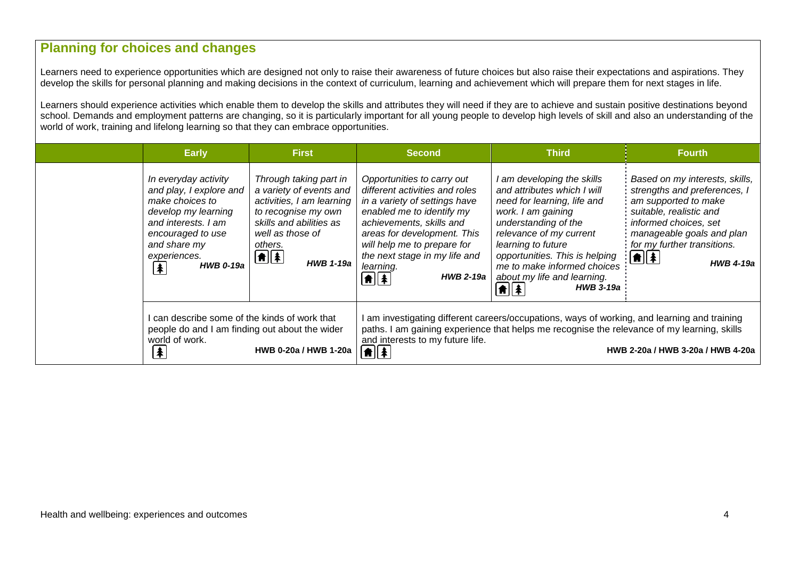## **Planning for choices and changes**

Learners need to experience opportunities which are designed not only to raise their awareness of future choices but also raise their expectations and aspirations. They develop the skills for personal planning and making decisions in the context of curriculum, learning and achievement which will prepare them for next stages in life.

Learners should experience activities which enable them to develop the skills and attributes they will need if they are to achieve and sustain positive destinations beyond school. Demands and employment patterns are changing, so it is particularly important for all young people to develop high levels of skill and also an understanding of the world of work, training and lifelong learning so that they can embrace opportunities.

| <b>Early</b>                                                                                                                                                                                   | <b>First</b>                                                                                                                                                                                       | <b>Second</b>                                                                                                                                                                                                                                                                                                                 | <b>Third</b>                                                                                                                                                                                                                                                                                                                                            | <b>Fourth</b>                                                                                                                                                                                                                                    |
|------------------------------------------------------------------------------------------------------------------------------------------------------------------------------------------------|----------------------------------------------------------------------------------------------------------------------------------------------------------------------------------------------------|-------------------------------------------------------------------------------------------------------------------------------------------------------------------------------------------------------------------------------------------------------------------------------------------------------------------------------|---------------------------------------------------------------------------------------------------------------------------------------------------------------------------------------------------------------------------------------------------------------------------------------------------------------------------------------------------------|--------------------------------------------------------------------------------------------------------------------------------------------------------------------------------------------------------------------------------------------------|
| In everyday activity<br>and play, I explore and<br>make choices to<br>develop my learning<br>and interests. I am<br>encouraged to use<br>and share my<br>experiences.<br><b>HWB 0-19a</b><br>∤ | Through taking part in<br>a variety of events and<br>activities, I am learning<br>to recognise my own<br>skills and abilities as<br>well as those of<br>others.<br>$\bigoplus$<br><b>HWB 1-19a</b> | Opportunities to carry out<br>different activities and roles<br>in a variety of settings have<br>enabled me to identify my<br>achievements, skills and<br>areas for development. This<br>will help me to prepare for<br>the next stage in my life and<br>learning.<br>$\boxed{\bullet}$ $\boxed{\bullet}$<br><b>HWB 2-19a</b> | I am developing the skills<br>and attributes which I will<br>need for learning, life and<br>work. I am gaining<br>understanding of the<br>relevance of my current<br>learning to future<br>opportunities. This is helping<br>me to make informed choices<br>about my life and learning.<br>$  \hat{\mathbf{n}}  \hat{\mathbf{x}}  $<br><b>HWB 3-19a</b> | Based on my interests, skills,<br>strengths and preferences, I<br>am supported to make<br>suitable, realistic and<br>informed choices, set<br>manageable goals and plan<br>for my further transitions.<br>$\boxed{\uparrow}$<br><b>HWB 4-19a</b> |
| I can describe some of the kinds of work that<br>people do and I am finding out about the wider<br>world of work.<br>$\vert \clubsuit \vert$                                                   | HWB 0-20a / HWB 1-20a                                                                                                                                                                              | and interests to my future life.<br>$  \hat{\mathbf{n}}  $ $\hat{\mathbf{z}}$                                                                                                                                                                                                                                                 | I am investigating different careers/occupations, ways of working, and learning and training<br>paths. I am gaining experience that helps me recognise the relevance of my learning, skills                                                                                                                                                             | HWB 2-20a / HWB 3-20a / HWB 4-20a                                                                                                                                                                                                                |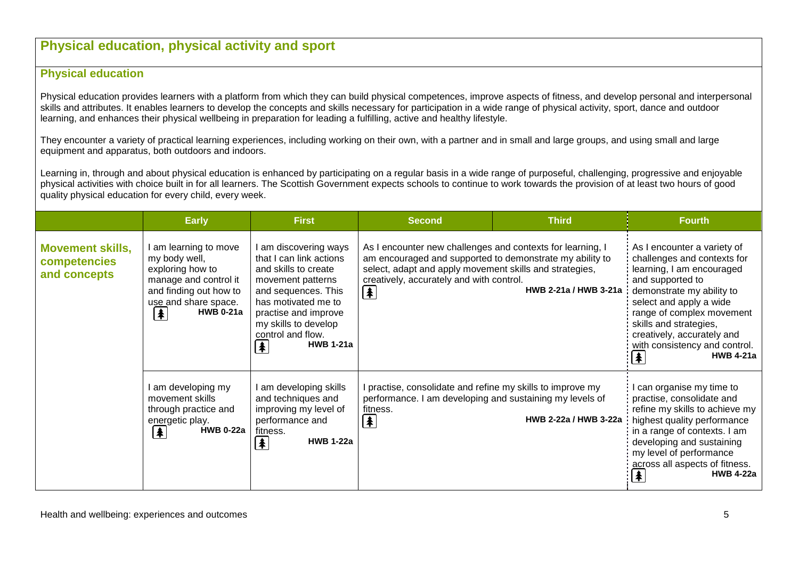## **Physical education, physical activity and sport**

## **Physical education**

Physical education provides learners with a platform from which they can build physical competences, improve aspects of fitness, and develop personal and interpersonal skills and attributes. It enables learners to develop the concepts and skills necessary for participation in a wide range of physical activity, sport, dance and outdoor learning, and enhances their physical wellbeing in preparation for leading a fulfilling, active and healthy lifestyle.

They encounter a variety of practical learning experiences, including working on their own, with a partner and in small and large groups, and using small and large equipment and apparatus, both outdoors and indoors.

Learning in, through and about physical education is enhanced by participating on a regular basis in a wide range of purposeful, challenging, progressive and enjoyable physical activities with choice built in for all learners. The Scottish Government expects schools to continue to work towards the provision of at least two hours of good quality physical education for every child, every week.

|                                                         | <b>Early</b>                                                                                                                                                    | <b>First</b>                                                                                                                                                                                                                              | <b>Second</b>                                                                                                                                                                                                                                                | <b>Third</b>                                                                                                                                                                                                                                                                                                                           | <b>Fourth</b>                                                                                                                                                                                                                                                                          |
|---------------------------------------------------------|-----------------------------------------------------------------------------------------------------------------------------------------------------------------|-------------------------------------------------------------------------------------------------------------------------------------------------------------------------------------------------------------------------------------------|--------------------------------------------------------------------------------------------------------------------------------------------------------------------------------------------------------------------------------------------------------------|----------------------------------------------------------------------------------------------------------------------------------------------------------------------------------------------------------------------------------------------------------------------------------------------------------------------------------------|----------------------------------------------------------------------------------------------------------------------------------------------------------------------------------------------------------------------------------------------------------------------------------------|
| <b>Movement skills,</b><br>competencies<br>and concepts | I am learning to move<br>my body well,<br>exploring how to<br>manage and control it<br>and finding out how to<br>use and share space.<br><b>HWB 0-21a</b><br> ≸ | I am discovering ways<br>that I can link actions<br>and skills to create<br>movement patterns<br>and sequences. This<br>has motivated me to<br>practise and improve<br>my skills to develop<br>control and flow.<br><b>HWB 1-21a</b><br>≸ | As I encounter new challenges and contexts for learning, I<br>am encouraged and supported to demonstrate my ability to<br>select, adapt and apply movement skills and strategies,<br>creatively, accurately and with control.<br>HWB 2-21a / HWB 3-21a<br>(≢ | As I encounter a variety of<br>challenges and contexts for<br>learning, I am encouraged<br>and supported to<br>demonstrate my ability to<br>select and apply a wide<br>range of complex movement<br>skills and strategies,<br>creatively, accurately and<br>with consistency and control.<br>$\blacktriangleright$<br><b>HWB 4-21a</b> |                                                                                                                                                                                                                                                                                        |
|                                                         | I am developing my<br>movement skills<br>through practice and<br>energetic play.<br><b>HWB 0-22a</b><br> ≱                                                      | I am developing skills<br>and techniques and<br>improving my level of<br>performance and<br>fitness.<br><b>HWB 1-22a</b><br>夆                                                                                                             | I practise, consolidate and refine my skills to improve my<br>performance. I am developing and sustaining my levels of<br>fitness.<br>$\left  \mathbf{F} \right $                                                                                            | <b>HWB 2-22a / HWB 3-22a</b>                                                                                                                                                                                                                                                                                                           | can organise my time to<br>practise, consolidate and<br>refine my skills to achieve my<br>highest quality performance<br>in a range of contexts. I am<br>developing and sustaining<br>my level of performance<br>across all aspects of fitness.<br>$\blacklozenge$<br><b>HWB 4-22a</b> |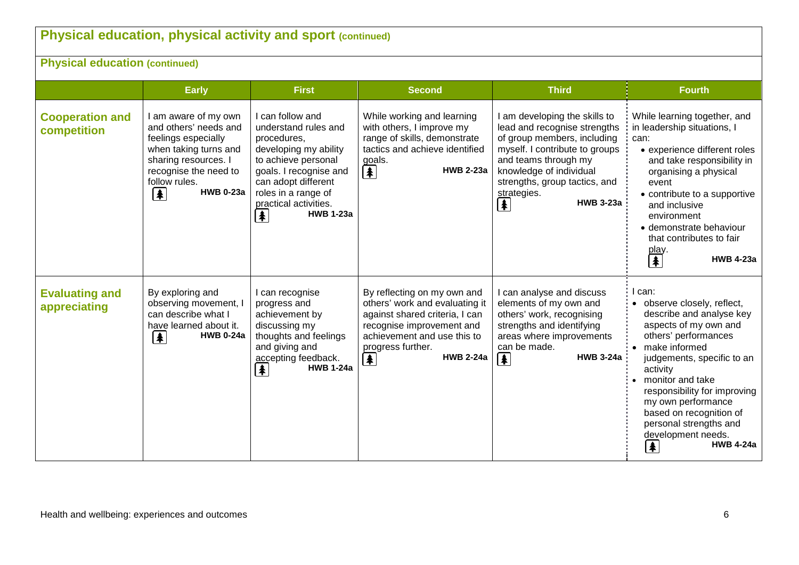# **Physical education, physical activity and sport (continued)**

**Physical education (continued)**

|                                       | <b>Early</b>                                                                                                                                                                              | <b>First</b>                                                                                                                                                                                                                                            | <b>Second</b>                                                                                                                                                                                                                   | <b>Third</b>                                                                                                                                                                                                                                                                         | <b>Fourth</b>                                                                                                                                                                                                                                                                                                                                                  |
|---------------------------------------|-------------------------------------------------------------------------------------------------------------------------------------------------------------------------------------------|---------------------------------------------------------------------------------------------------------------------------------------------------------------------------------------------------------------------------------------------------------|---------------------------------------------------------------------------------------------------------------------------------------------------------------------------------------------------------------------------------|--------------------------------------------------------------------------------------------------------------------------------------------------------------------------------------------------------------------------------------------------------------------------------------|----------------------------------------------------------------------------------------------------------------------------------------------------------------------------------------------------------------------------------------------------------------------------------------------------------------------------------------------------------------|
| <b>Cooperation and</b><br>competition | I am aware of my own<br>and others' needs and<br>feelings especially<br>when taking turns and<br>sharing resources. I<br>recognise the need to<br>follow rules.<br><b>HWB 0-23a</b><br> ≱ | I can follow and<br>understand rules and<br>procedures,<br>developing my ability<br>to achieve personal<br>goals. I recognise and<br>can adopt different<br>roles in a range of<br>practical activities.<br><b>HWB 1-23a</b><br>$\vert \clubsuit \vert$ | While working and learning<br>with others, I improve my<br>range of skills, demonstrate<br>tactics and achieve identified<br>goals.<br>$\left  \mathbf{\pmb{\ast}} \right $<br><b>HWB 2-23a</b>                                 | I am developing the skills to<br>lead and recognise strengths<br>of group members, including<br>myself. I contribute to groups<br>and teams through my<br>knowledge of individual<br>strengths, group tactics, and<br>strategies.<br><b>HWB 3-23a</b><br>$\left  \mathbf{F} \right $ | While learning together, and<br>in leadership situations, I<br>can:<br>• experience different roles<br>and take responsibility in<br>organising a physical<br>event<br>• contribute to a supportive<br>and inclusive<br>environment<br>• demonstrate behaviour<br>that contributes to fair<br>play.<br>【 <mark>≸</mark><br><b>HWB 4-23a</b>                    |
| <b>Evaluating and</b><br>appreciating | By exploring and<br>observing movement, I<br>can describe what I<br>have learned about it.<br> ≱<br><b>HWB 0-24a</b>                                                                      | I can recognise<br>progress and<br>achievement by<br>discussing my<br>thoughts and feelings<br>and giving and<br>accepting feedback.<br><b>HWB 1-24a</b><br>$\left  \mathbf{\pmb{*}} \right $                                                           | By reflecting on my own and<br>others' work and evaluating it<br>against shared criteria, I can<br>recognise improvement and<br>achievement and use this to<br>progress further.<br><b>HWB 2-24a</b><br>$\vert \clubsuit \vert$ | I can analyse and discuss<br>elements of my own and<br>others' work, recognising<br>strengths and identifying<br>areas where improvements<br>can be made.<br>$\left  \mathbf{\pmb{\ast}} \right $<br><b>HWB 3-24a</b>                                                                | l can:<br>• observe closely, reflect,<br>describe and analyse key<br>aspects of my own and<br>others' performances<br>• make informed<br>judgements, specific to an<br>activity<br>monitor and take<br>responsibility for improving<br>my own performance<br>based on recognition of<br>personal strengths and<br>development needs.<br><b>HWB 4-24a</b><br>I¥ |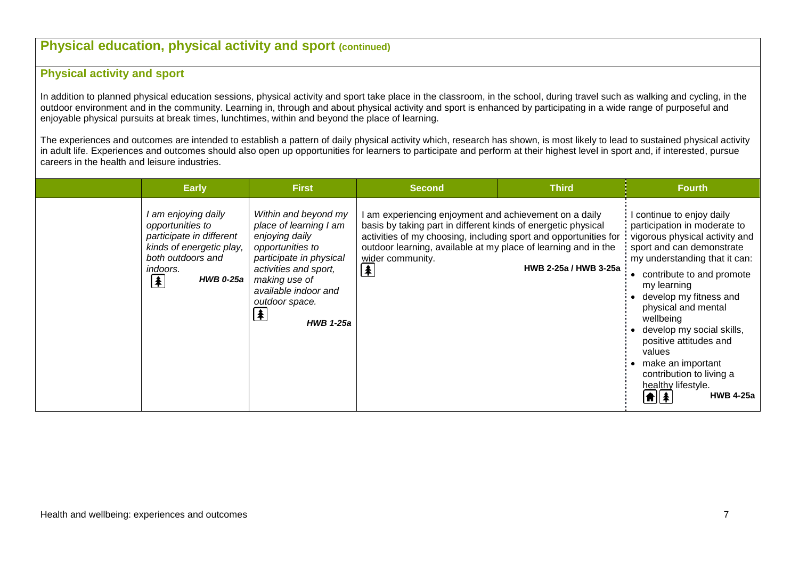## **Physical education, physical activity and sport (continued)**

### **Physical activity and sport**

In addition to planned physical education sessions, physical activity and sport take place in the classroom, in the school, during travel such as walking and cycling, in the outdoor environment and in the community. Learning in, through and about physical activity and sport is enhanced by participating in a wide range of purposeful and enjoyable physical pursuits at break times, lunchtimes, within and beyond the place of learning.

The experiences and outcomes are intended to establish a pattern of daily physical activity which, research has shown, is most likely to lead to sustained physical activity in adult life. Experiences and outcomes should also open up opportunities for learners to participate and perform at their highest level in sport and, if interested, pursue careers in the health and leisure industries.

| <b>Early</b>                                                                                                                                                                              | <b>First</b>                                                                                                                                                                                                                  | <b>Second</b>                                                                                                                                                                                                                                                                                                                           | <b>Third</b>          | <b>Fourth</b>                                                                                                                                                                                                                                                                                                                                                                                                                 |
|-------------------------------------------------------------------------------------------------------------------------------------------------------------------------------------------|-------------------------------------------------------------------------------------------------------------------------------------------------------------------------------------------------------------------------------|-----------------------------------------------------------------------------------------------------------------------------------------------------------------------------------------------------------------------------------------------------------------------------------------------------------------------------------------|-----------------------|-------------------------------------------------------------------------------------------------------------------------------------------------------------------------------------------------------------------------------------------------------------------------------------------------------------------------------------------------------------------------------------------------------------------------------|
| l am enjoying daily<br>opportunities to<br>participate in different<br>kinds of energetic play,<br>both outdoors and<br>indoors.<br><b>HWB 0-25a</b><br>$\left  \mathbf{\pmb{A}} \right $ | Within and beyond my<br>place of learning I am<br>enjoying daily<br>opportunities to<br>participate in physical<br>activities and sport,<br>making use of<br>available indoor and<br>outdoor space.<br>(≸<br><b>HWB 1-25a</b> | am experiencing enjoyment and achievement on a daily<br>basis by taking part in different kinds of energetic physical<br>activities of my choosing, including sport and opportunities for<br>outdoor learning, available at my place of learning and in the<br>wider community.<br>$\left  \color{red} \clubsuit \color{black} \right $ | HWB 2-25a / HWB 3-25a | continue to enjoy daily<br>participation in moderate to<br>vigorous physical activity and<br>sport and can demonstrate<br>my understanding that it can:<br>contribute to and promote<br>my learning<br>develop my fitness and<br>physical and mental<br>wellbeing<br>develop my social skills,<br>positive attitudes and<br>values<br>make an important<br>contribution to living a<br>healthy lifestyle.<br><b>HWB 4-25a</b> |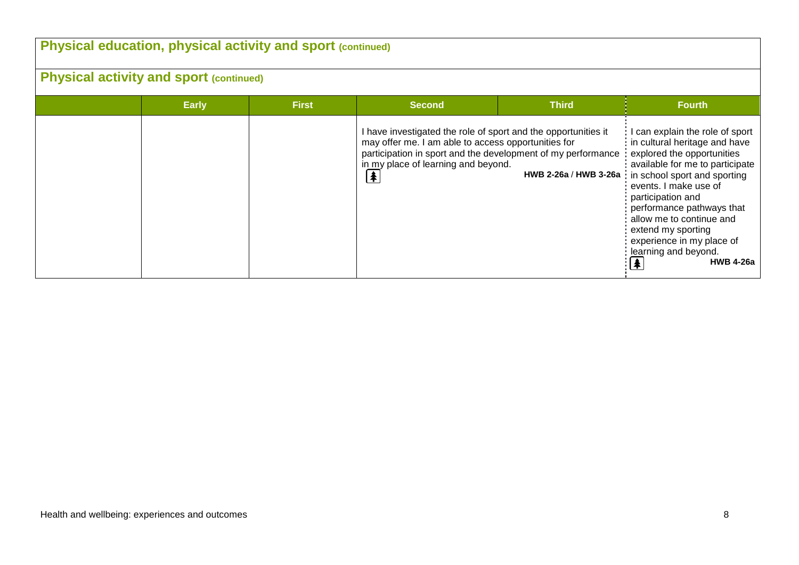| <b>Physical education, physical activity and sport (continued)</b> |              |              |                                                                                                                                                                                                                                                            |              |                                                                                                                                                                                                                                                                                                                                                                                             |  |  |  |
|--------------------------------------------------------------------|--------------|--------------|------------------------------------------------------------------------------------------------------------------------------------------------------------------------------------------------------------------------------------------------------------|--------------|---------------------------------------------------------------------------------------------------------------------------------------------------------------------------------------------------------------------------------------------------------------------------------------------------------------------------------------------------------------------------------------------|--|--|--|
| <b>Physical activity and sport (continued)</b>                     |              |              |                                                                                                                                                                                                                                                            |              |                                                                                                                                                                                                                                                                                                                                                                                             |  |  |  |
|                                                                    | <b>Early</b> | <b>First</b> | <b>Second</b>                                                                                                                                                                                                                                              | <b>Third</b> | <b>Fourth</b>                                                                                                                                                                                                                                                                                                                                                                               |  |  |  |
|                                                                    |              |              | I have investigated the role of sport and the opportunities it<br>may offer me. I am able to access opportunities for<br>participation in sport and the development of my performance<br>in my place of learning and beyond.<br>$\left  \clubsuit \right $ |              | can explain the role of sport<br>in cultural heritage and have<br>explored the opportunities<br>available for me to participate<br>HWB 2-26a / HWB 3-26a in school sport and sporting<br>events. I make use of<br>participation and<br>performance pathways that<br>allow me to continue and<br>extend my sporting<br>experience in my place of<br>learning and beyond.<br><b>HWB 4-26a</b> |  |  |  |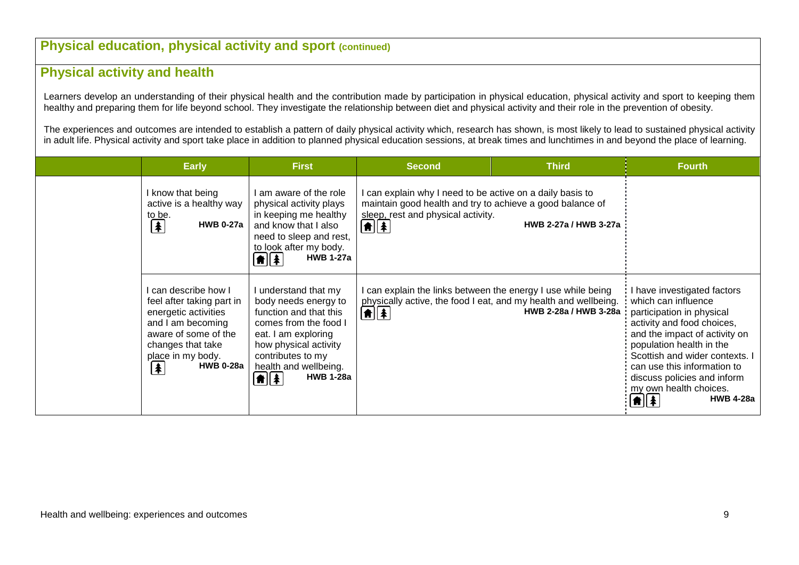## **Physical education, physical activity and sport (continued)**

## **Physical activity and health**

Learners develop an understanding of their physical health and the contribution made by participation in physical education, physical activity and sport to keeping them healthy and preparing them for life beyond school. They investigate the relationship between diet and physical activity and their role in the prevention of obesity.

The experiences and outcomes are intended to establish a pattern of daily physical activity which, research has shown, is most likely to lead to sustained physical activity in adult life. Physical activity and sport take place in addition to planned physical education sessions, at break times and lunchtimes in and beyond the place of learning.

| <b>Early</b>                                                                                                                                                                                                            | <b>First</b>                                                                                                                                                                                                                                      | <b>Second</b>                                                                                                                                                                        | <b>Third</b>                                                                                    | <b>Fourth</b>                                                                                                                                                                                                                                                                                                                   |
|-------------------------------------------------------------------------------------------------------------------------------------------------------------------------------------------------------------------------|---------------------------------------------------------------------------------------------------------------------------------------------------------------------------------------------------------------------------------------------------|--------------------------------------------------------------------------------------------------------------------------------------------------------------------------------------|-------------------------------------------------------------------------------------------------|---------------------------------------------------------------------------------------------------------------------------------------------------------------------------------------------------------------------------------------------------------------------------------------------------------------------------------|
| know that being<br>active is a healthy way<br>to be.<br>$\left  \mathbf{\pmb{*}} \right $<br><b>HWB 0-27a</b>                                                                                                           | I am aware of the role<br>physical activity plays<br>in keeping me healthy<br>and know that I also<br>need to sleep and rest,<br>to look after my body.<br><b>HWB 1-27a</b><br>$  \hat{\mathbf{n}}  \hat{\mathbf{x}}  $                           | I can explain why I need to be active on a daily basis to<br>maintain good health and try to achieve a good balance of<br>sleep, rest and physical activity.<br>$ \hat{\mathbf{n}} $ | HWB 2-27a / HWB 3-27a                                                                           |                                                                                                                                                                                                                                                                                                                                 |
| can describe how I<br>feel after taking part in<br>energetic activities<br>and I am becoming<br>aware of some of the<br>changes that take<br>place in my body.<br><b>HWB 0-28a</b><br>$\left  \mathbf{\pmb{*}} \right $ | I understand that my<br>body needs energy to<br>function and that this<br>comes from the food I<br>eat. I am exploring<br>how physical activity<br>contributes to my<br>health and wellbeing.<br>$\left[ \frac{1}{2} \right]$<br><b>HWB 1-28a</b> | can explain the links between the energy I use while being<br>$\left[\begin{matrix}\n\frac{1}{2} \\ \frac{1}{2}\n\end{matrix}\right]$                                                | physically active, the food I eat, and my health and wellbeing.<br><b>HWB 2-28a / HWB 3-28a</b> | have investigated factors<br>which can influence<br>participation in physical<br>activity and food choices,<br>and the impact of activity on<br>population health in the<br>Scottish and wider contexts. I<br>can use this information to<br>discuss policies and inform<br>my own health choices.<br><b>HWB 4-28a</b><br> ★  衤 |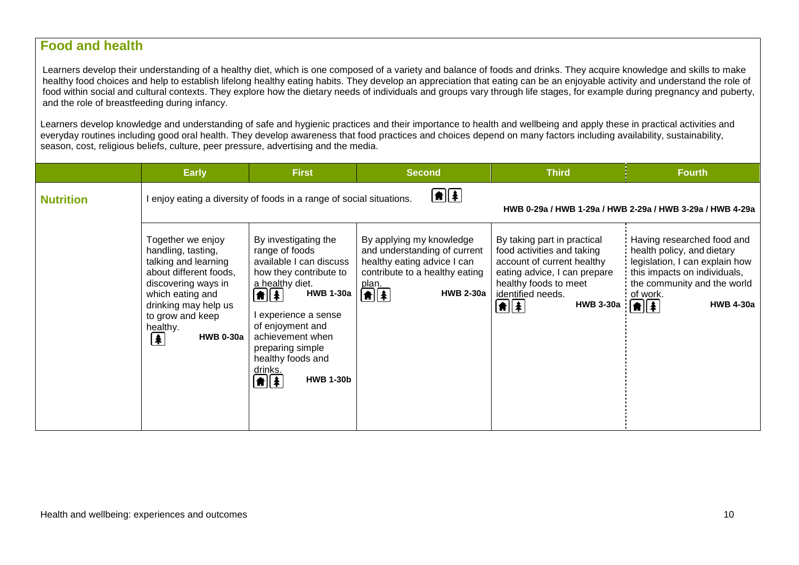## **Food and health**

Learners develop their understanding of a healthy diet, which is one composed of a variety and balance of foods and drinks. They acquire knowledge and skills to make healthy food choices and help to establish lifelong healthy eating habits. They develop an appreciation that eating can be an enjoyable activity and understand the role of food within social and cultural contexts. They explore how the dietary needs of individuals and groups vary through life stages, for example during pregnancy and puberty, and the role of breastfeeding during infancy.

Learners develop knowledge and understanding of safe and hygienic practices and their importance to health and wellbeing and apply these in practical activities and everyday routines including good oral health. They develop awareness that food practices and choices depend on many factors including availability, sustainability, season, cost, religious beliefs, culture, peer pressure, advertising and the media.

|                  | <b>Early</b>                                                                                                                                                                                                                                          | <b>First</b>                                                                                                                                                                                                                                                                                                                                                       | <b>Second</b>                                                                                                                                                        | <b>Third</b>                                                                                                                                                                                                                    | <b>Fourth</b>                                                                                                                                                                                                     |
|------------------|-------------------------------------------------------------------------------------------------------------------------------------------------------------------------------------------------------------------------------------------------------|--------------------------------------------------------------------------------------------------------------------------------------------------------------------------------------------------------------------------------------------------------------------------------------------------------------------------------------------------------------------|----------------------------------------------------------------------------------------------------------------------------------------------------------------------|---------------------------------------------------------------------------------------------------------------------------------------------------------------------------------------------------------------------------------|-------------------------------------------------------------------------------------------------------------------------------------------------------------------------------------------------------------------|
| <b>Nutrition</b> |                                                                                                                                                                                                                                                       | enjoy eating a diversity of foods in a range of social situations.                                                                                                                                                                                                                                                                                                 | ∈■                                                                                                                                                                   |                                                                                                                                                                                                                                 | HWB 0-29a / HWB 1-29a / HWB 2-29a / HWB 3-29a / HWB 4-29a                                                                                                                                                         |
|                  | Together we enjoy<br>handling, tasting,<br>talking and learning<br>about different foods,<br>discovering ways in<br>which eating and<br>drinking may help us<br>to grow and keep<br>healthy.<br><b>HWB 0-30a</b><br>$\left  \mathbf{\pmb{*}} \right $ | By investigating the<br>range of foods<br>available I can discuss<br>how they contribute to<br>a healthy diet.<br><b>HWB 1-30a</b><br>$\left  \textbf{f} \right $ $\left  \textbf{f} \right $<br>l experience a sense<br>of enjoyment and<br>achievement when<br>preparing simple<br>healthy foods and<br>drinks.<br>$\textbf{A}$ $\textbf{A}$<br><b>HWB 1-30b</b> | By applying my knowledge<br>and understanding of current<br>healthy eating advice I can<br>contribute to a healthy eating<br>plan.<br>$\bigcirc$<br><b>HWB 2-30a</b> | By taking part in practical<br>food activities and taking<br>account of current healthy<br>eating advice, I can prepare<br>healthy foods to meet<br>identified needs.<br><b>HWB 3-30a</b><br>$  \hat{\bm{\pi}}  \hat{\bm{z}}  $ | Having researched food and<br>health policy, and dietary<br>legislation, I can explain how<br>this impacts on individuals,<br>the community and the world<br>of work.<br>$\boxed{\textbf{f}}$<br><b>HWB 4-30a</b> |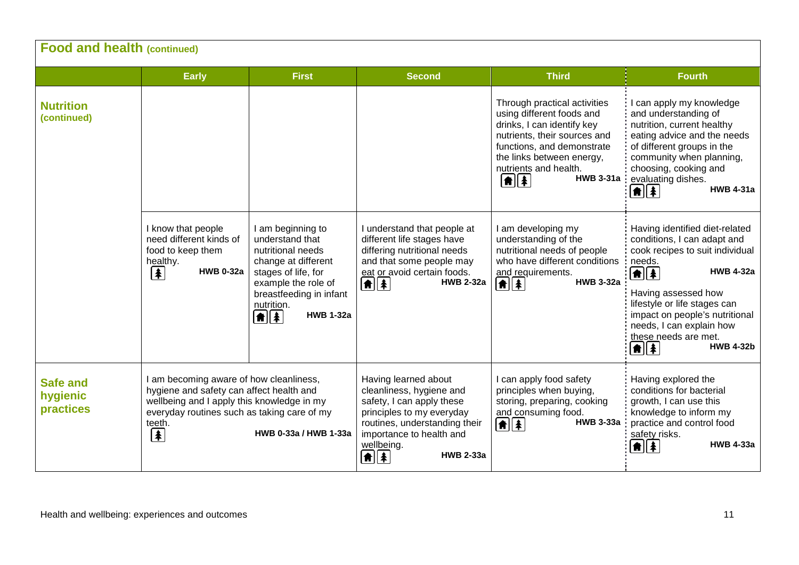| <b>Food and health (continued)</b>       |                                                                                                                                                                                                  |                                                                                                                                                                                                                                                        |                                                                                                                                                                                                                                                       |                                                                                                                                                                                                                                                                |                                                                                                                                                                                                                                                                                                                                                                         |  |  |
|------------------------------------------|--------------------------------------------------------------------------------------------------------------------------------------------------------------------------------------------------|--------------------------------------------------------------------------------------------------------------------------------------------------------------------------------------------------------------------------------------------------------|-------------------------------------------------------------------------------------------------------------------------------------------------------------------------------------------------------------------------------------------------------|----------------------------------------------------------------------------------------------------------------------------------------------------------------------------------------------------------------------------------------------------------------|-------------------------------------------------------------------------------------------------------------------------------------------------------------------------------------------------------------------------------------------------------------------------------------------------------------------------------------------------------------------------|--|--|
|                                          | <b>Early</b>                                                                                                                                                                                     | <b>First</b>                                                                                                                                                                                                                                           | <b>Second</b>                                                                                                                                                                                                                                         | <b>Third</b>                                                                                                                                                                                                                                                   | <b>Fourth</b>                                                                                                                                                                                                                                                                                                                                                           |  |  |
| <b>Nutrition</b><br>(continued)          |                                                                                                                                                                                                  |                                                                                                                                                                                                                                                        |                                                                                                                                                                                                                                                       | Through practical activities<br>using different foods and<br>drinks, I can identify key<br>nutrients, their sources and<br>functions, and demonstrate<br>the links between energy,<br>nutrients and health.<br><b>HWB 3-31a</b><br>$\left  \mathbf{f} \right $ | I can apply my knowledge<br>and understanding of<br>nutrition, current healthy<br>eating advice and the needs<br>of different groups in the<br>community when planning,<br>choosing, cooking and<br>evaluating dishes.<br><b>HWB 4-31a</b><br>$\left  \mathbf{f} \right $                                                                                               |  |  |
|                                          | I know that people<br>need different kinds of<br>food to keep them<br>healthy.<br>t<br><b>HWB 0-32a</b>                                                                                          | I am beginning to<br>understand that<br>nutritional needs<br>change at different<br>stages of life, for<br>example the role of<br>breastfeeding in infant<br>nutrition.<br><b>HWB 1-32a</b><br>$\left  \mathbf{f} \right $ $\left  \mathbf{f} \right $ | I understand that people at<br>different life stages have<br>differing nutritional needs<br>and that some people may<br>eat or avoid certain foods.<br>$\left  \mathbf{f} \right $<br><b>HWB 2-32a</b>                                                | I am developing my<br>understanding of the<br>nutritional needs of people<br>who have different conditions:<br>and requirements.<br>$\bigcirc$<br><b>HWB 3-32a</b>                                                                                             | Having identified diet-related<br>conditions, I can adapt and<br>cook recipes to suit individual<br>needs.<br><b>HWB 4-32a</b><br>$\boxed{\uparrow}$ $\boxed{\uparrow}$<br>Having assessed how<br>lifestyle or life stages can<br>impact on people's nutritional<br>needs, I can explain how<br>these needs are met.<br><b>HWB 4-32b</b><br>$\left  \mathbf{f} \right $ |  |  |
| <b>Safe and</b><br>hygienic<br>practices | I am becoming aware of how cleanliness,<br>hygiene and safety can affect health and<br>wellbeing and I apply this knowledge in my<br>everyday routines such as taking care of my<br>teeth.<br>[≱ | HWB 0-33a / HWB 1-33a                                                                                                                                                                                                                                  | Having learned about<br>cleanliness, hygiene and<br>safety, I can apply these<br>principles to my everyday<br>routines, understanding their<br>importance to health and<br>wellbeing.<br><b>HWB 2-33a</b><br>$  \hat{\mathbf{n}}  \hat{\mathbf{x}}  $ | I can apply food safety<br>principles when buying,<br>storing, preparing, cooking<br>and consuming food.<br><b>HWB 3-33a</b><br>自主                                                                                                                             | Having explored the<br>conditions for bacterial<br>growth, I can use this<br>knowledge to inform my<br>practice and control food<br>safety risks.<br><b>HWB 4-33a</b><br>★∥★                                                                                                                                                                                            |  |  |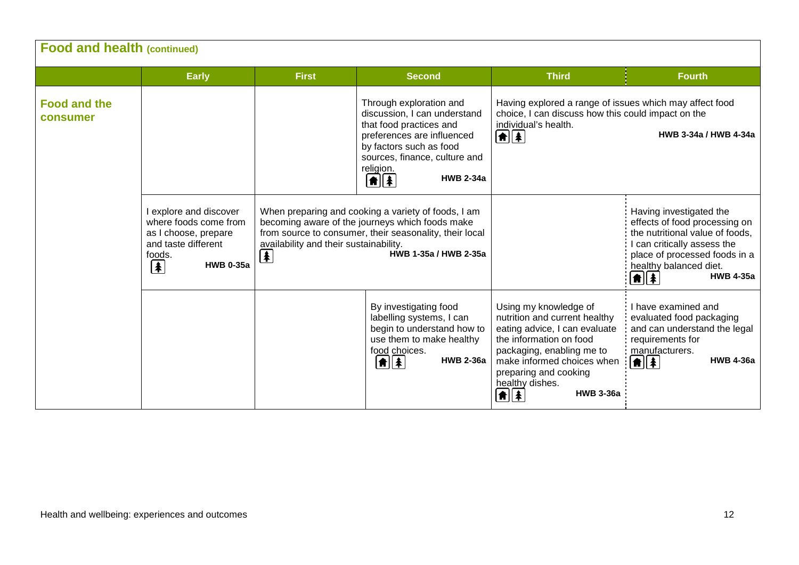| <b>Food and health (continued)</b> |                                                                                                                                              |                                                                             |                                                                                                                                                                                                                                              |                                                                                                                                                                                                                                                                              |                                                                                                                                                                                                                                                       |
|------------------------------------|----------------------------------------------------------------------------------------------------------------------------------------------|-----------------------------------------------------------------------------|----------------------------------------------------------------------------------------------------------------------------------------------------------------------------------------------------------------------------------------------|------------------------------------------------------------------------------------------------------------------------------------------------------------------------------------------------------------------------------------------------------------------------------|-------------------------------------------------------------------------------------------------------------------------------------------------------------------------------------------------------------------------------------------------------|
|                                    | <b>Early</b>                                                                                                                                 | <b>First</b>                                                                | <b>Second</b>                                                                                                                                                                                                                                | <b>Third</b>                                                                                                                                                                                                                                                                 | <b>Fourth</b>                                                                                                                                                                                                                                         |
| <b>Food and the</b><br>consumer    |                                                                                                                                              |                                                                             | Through exploration and<br>discussion, I can understand<br>that food practices and<br>preferences are influenced<br>by factors such as food<br>sources, finance, culture and<br>religion.<br><b>HWB 2-34a</b><br>$\left  \mathbf{f} \right $ | Having explored a range of issues which may affect food<br>choice, I can discuss how this could impact on the<br>individual's health.<br>$\left[ \frac{1}{2} \right]$                                                                                                        | HWB 3-34a / HWB 4-34a                                                                                                                                                                                                                                 |
|                                    | I explore and discover<br>where foods come from<br>as I choose, prepare<br>and taste different<br>foods.<br><sup>1</sup><br><b>HWB 0-35a</b> | availability and their sustainability.<br>$\left  \mathbf{\pmb{*}} \right $ | When preparing and cooking a variety of foods, I am<br>becoming aware of the journeys which foods make<br>from source to consumer, their seasonality, their local<br>HWB 1-35a / HWB 2-35a                                                   |                                                                                                                                                                                                                                                                              | Having investigated the<br>effects of food processing on<br>the nutritional value of foods,<br>I can critically assess the<br>place of processed foods in a<br>healthy balanced diet.<br><b>HWB 4-35a</b><br>$  \hat{\mathbf{n}}  \hat{\mathbf{x}}  $ |
|                                    |                                                                                                                                              |                                                                             | By investigating food<br>labelling systems, I can<br>begin to understand how to<br>use them to make healthy<br>food choices.<br>$\left  \mathbf{\hat{m}} \right $<br><b>HWB 2-36a</b>                                                        | Using my knowledge of<br>nutrition and current healthy<br>eating advice, I can evaluate<br>the information on food<br>packaging, enabling me to<br>make informed choices when<br>preparing and cooking<br>healthy dishes.<br><b>HWB 3-36a</b><br>$\left  \mathbf{f} \right $ | I have examined and<br>evaluated food packaging<br>and can understand the legal<br>requirements for<br>manufacturers.<br><b>HWB 4-36a</b><br>$\left  \mathbf{f} \right $ $\left  \mathbf{f} \right $                                                  |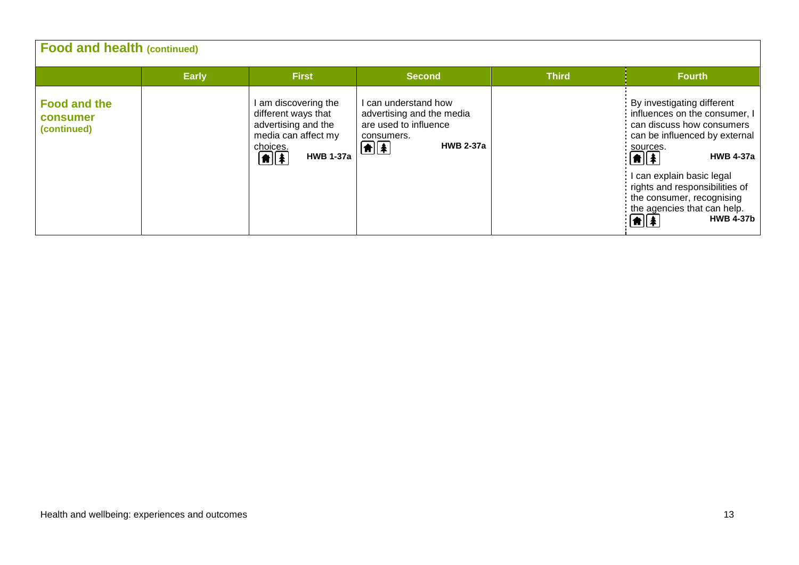| <b>Food and health (continued)</b>             |              |                                                                                                                                                   |                                                                                                                                                                     |              |                                                                                                                                                                                                                                                                                                                                                                      |  |  |  |
|------------------------------------------------|--------------|---------------------------------------------------------------------------------------------------------------------------------------------------|---------------------------------------------------------------------------------------------------------------------------------------------------------------------|--------------|----------------------------------------------------------------------------------------------------------------------------------------------------------------------------------------------------------------------------------------------------------------------------------------------------------------------------------------------------------------------|--|--|--|
|                                                | <b>Early</b> | <b>First</b>                                                                                                                                      | <b>Second</b>                                                                                                                                                       | <b>Third</b> | <b>Fourth</b>                                                                                                                                                                                                                                                                                                                                                        |  |  |  |
| <b>Food and the</b><br>consumer<br>(continued) |              | I am discovering the<br>different ways that<br>advertising and the<br>media can affect my<br>choices.<br>$\boxed{\textbf{f}}$<br><b>HWB 1-37a</b> | I can understand how<br>advertising and the media<br>are used to influence<br>consumers.<br>$\left[ \biguplus \left[ \biguplus \right] \right]$<br><b>HWB 2-37a</b> |              | By investigating different<br>influences on the consumer, I<br>can discuss how consumers<br>can be influenced by external<br>sources.<br><b>HWB 4-37a</b><br>$\begin{bmatrix} \mathbf{f} \\ \mathbf{f} \end{bmatrix}$<br>I can explain basic legal<br>rights and responsibilities of<br>the consumer, recognising<br>the agencies that can help.<br><b>HWB 4-37b</b> |  |  |  |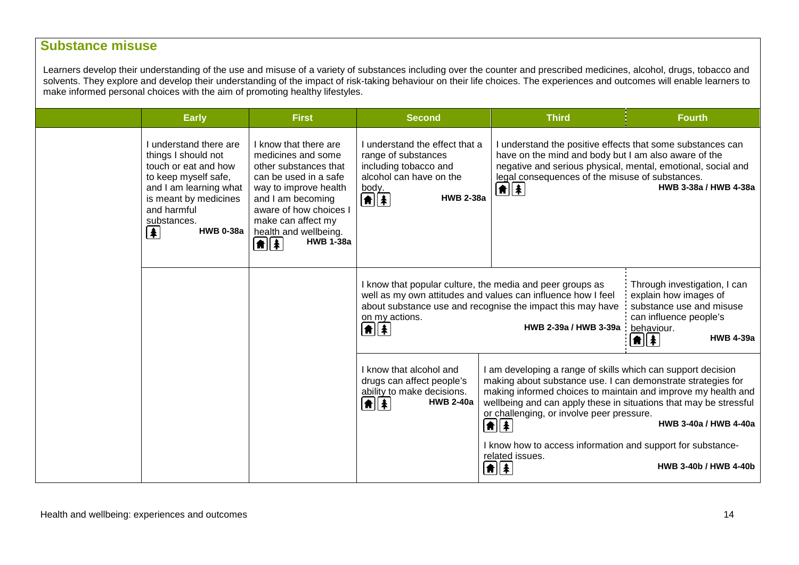## **Substance misuse**

Learners develop their understanding of the use and misuse of a variety of substances including over the counter and prescribed medicines, alcohol, drugs, tobacco and solvents. They explore and develop their understanding of the impact of risk-taking behaviour on their life choices. The experiences and outcomes will enable learners to make informed personal choices with the aim of promoting healthy lifestyles.

| <b>Early</b>                                                                                                                                                                                                                                               | <b>First</b>                                                                                                                                                                                                                                                    | <b>Second</b>                                                                                                                                                          | <b>Third</b>                                                                                                                                                                                                                                                                                                                                      | <b>Fourth</b>                                                                                                                                       |
|------------------------------------------------------------------------------------------------------------------------------------------------------------------------------------------------------------------------------------------------------------|-----------------------------------------------------------------------------------------------------------------------------------------------------------------------------------------------------------------------------------------------------------------|------------------------------------------------------------------------------------------------------------------------------------------------------------------------|---------------------------------------------------------------------------------------------------------------------------------------------------------------------------------------------------------------------------------------------------------------------------------------------------------------------------------------------------|-----------------------------------------------------------------------------------------------------------------------------------------------------|
| I understand there are<br>things I should not<br>touch or eat and how<br>to keep myself safe,<br>and I am learning what<br>is meant by medicines<br>and harmful<br>substances.<br>$\left  \color{red} \clubsuit \color{black} \right $<br><b>HWB 0-38a</b> | I know that there are<br>medicines and some<br>other substances that<br>can be used in a safe<br>way to improve health<br>and I am becoming<br>aware of how choices I<br>make can affect my<br>health and wellbeing.<br>$\bigcap_{i=1}^{n}$<br><b>HWB 1-38a</b> | I understand the effect that a<br>range of substances<br>including tobacco and<br>alcohol can have on the<br>body.<br><b>HWB 2-38a</b><br>$\left[ \frac{1}{2} \right]$ | I understand the positive effects that some substances can<br>have on the mind and body but I am also aware of the<br>negative and serious physical, mental, emotional, social and<br>legal consequences of the misuse of substances.<br>$\left  \textbf{f} \right $                                                                              | HWB 3-38a / HWB 4-38a                                                                                                                               |
|                                                                                                                                                                                                                                                            |                                                                                                                                                                                                                                                                 | on my actions.<br>Ⅲ▲                                                                                                                                                   | I know that popular culture, the media and peer groups as<br>well as my own attitudes and values can influence how I feel<br>about substance use and recognise the impact this may have<br>HWB 2-39a / HWB 3-39a                                                                                                                                  | Through investigation, I can<br>explain how images of<br>substance use and misuse<br>can influence people's<br>behaviour.<br><b>HWB 4-39a</b><br>自生 |
|                                                                                                                                                                                                                                                            |                                                                                                                                                                                                                                                                 | I know that alcohol and<br>drugs can affect people's<br>ability to make decisions.<br>$\left[ \begin{matrix} \text{A} \end{matrix} \right]$<br><b>HWB 2-40a</b>        | I am developing a range of skills which can support decision<br>making about substance use. I can demonstrate strategies for<br>making informed choices to maintain and improve my health and<br>wellbeing and can apply these in situations that may be stressful<br>or challenging, or involve peer pressure.<br>HWB 3-40a / HWB 4-40a<br>11. 1 |                                                                                                                                                     |
|                                                                                                                                                                                                                                                            |                                                                                                                                                                                                                                                                 |                                                                                                                                                                        | I know how to access information and support for substance-<br>related issues.<br>$\left  \mathbf{f} \right $                                                                                                                                                                                                                                     | HWB 3-40b / HWB 4-40b                                                                                                                               |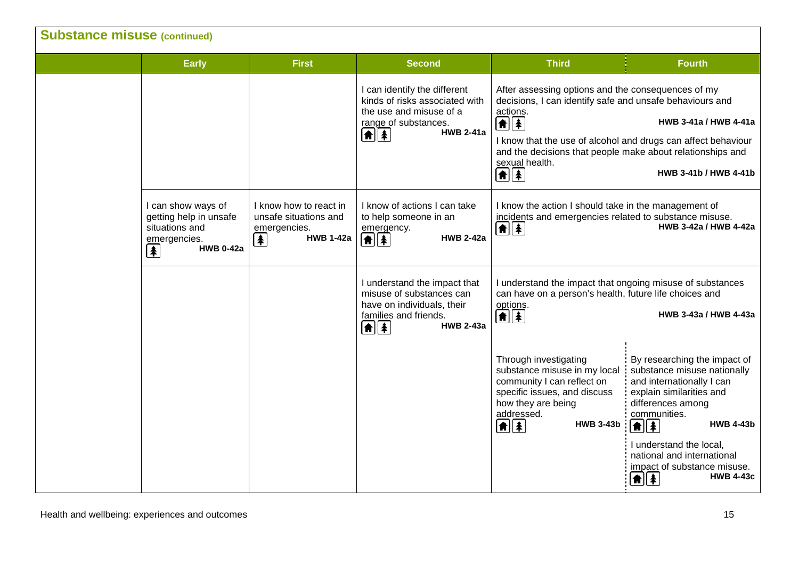| <b>Substance misuse (continued)</b> |                                                                                                                                  |                                                                                                    |                                                                                                                                                                                                                                                                       |                                                                                                                                                                                                                                                                                                                                                      |                                                                                                                                                                                      |  |
|-------------------------------------|----------------------------------------------------------------------------------------------------------------------------------|----------------------------------------------------------------------------------------------------|-----------------------------------------------------------------------------------------------------------------------------------------------------------------------------------------------------------------------------------------------------------------------|------------------------------------------------------------------------------------------------------------------------------------------------------------------------------------------------------------------------------------------------------------------------------------------------------------------------------------------------------|--------------------------------------------------------------------------------------------------------------------------------------------------------------------------------------|--|
|                                     | <b>Early</b>                                                                                                                     | <b>First</b>                                                                                       | <b>Second</b>                                                                                                                                                                                                                                                         | <b>Third</b>                                                                                                                                                                                                                                                                                                                                         | <b>Fourth</b>                                                                                                                                                                        |  |
|                                     |                                                                                                                                  |                                                                                                    | I can identify the different<br>kinds of risks associated with<br>the use and misuse of a<br>range of substances.<br><b>HWB 2-41a</b><br>$\left[\begin{matrix}\n\bullet \\ \bullet\n\end{matrix}\right]\left[\begin{matrix}\n\bullet \\ \bullet\n\end{matrix}\right]$ | After assessing options and the consequences of my<br>decisions, I can identify safe and unsafe behaviours and<br>actions.<br>$\bigcirc$<br>I know that the use of alcohol and drugs can affect behaviour<br>and the decisions that people make about relationships and<br>sexual health.<br>$\left  \mathbf{f} \right $ $\left  \mathbf{f} \right $ | HWB 3-41a / HWB 4-41a<br>HWB 3-41b / HWB 4-41b                                                                                                                                       |  |
|                                     | I can show ways of<br>getting help in unsafe<br>situations and<br>emergencies.<br><b>HWB 0-42a</b><br>$\left  \clubsuit \right $ | I know how to react in<br>unsafe situations and<br>emergencies.<br><b>HWB 1-42a</b><br>$\clubsuit$ | I know of actions I can take<br>to help someone in an<br>emergency.<br><b>HWB 2-42a</b><br>$\left  \textbf{f} \right $                                                                                                                                                | I know the action I should take in the management of<br>incidents and emergencies related to substance misuse.<br>HWB 3-42a / HWB 4-42a<br>$\left  \mathbf{f} \right $                                                                                                                                                                               |                                                                                                                                                                                      |  |
|                                     |                                                                                                                                  |                                                                                                    | I understand the impact that<br>misuse of substances can<br>have on individuals, their<br>families and friends.<br>$\left[ \frac{1}{2} \right]$<br><b>HWB 2-43a</b>                                                                                                   | I understand the impact that ongoing misuse of substances<br>can have on a person's health, future life choices and<br>options.<br>$\boxed{\uparrow}$                                                                                                                                                                                                | HWB 3-43a / HWB 4-43a                                                                                                                                                                |  |
|                                     |                                                                                                                                  |                                                                                                    |                                                                                                                                                                                                                                                                       | Through investigating<br>substance misuse in my local<br>community I can reflect on<br>specific issues, and discuss<br>how they are being<br>addressed.<br><b>HWB 3-43b</b><br>$\frac{1}{2}$                                                                                                                                                         | By researching the impact of<br>substance misuse nationally<br>and internationally I can<br>explain similarities and<br>differences among<br>communities.<br><b>HWB 4-43b</b><br>f → |  |
|                                     |                                                                                                                                  |                                                                                                    |                                                                                                                                                                                                                                                                       |                                                                                                                                                                                                                                                                                                                                                      | I understand the local,<br>national and international<br>impact of substance misuse.<br><b>HWB 4-43c</b><br>$\left[ \textbf{f} \right]$                                              |  |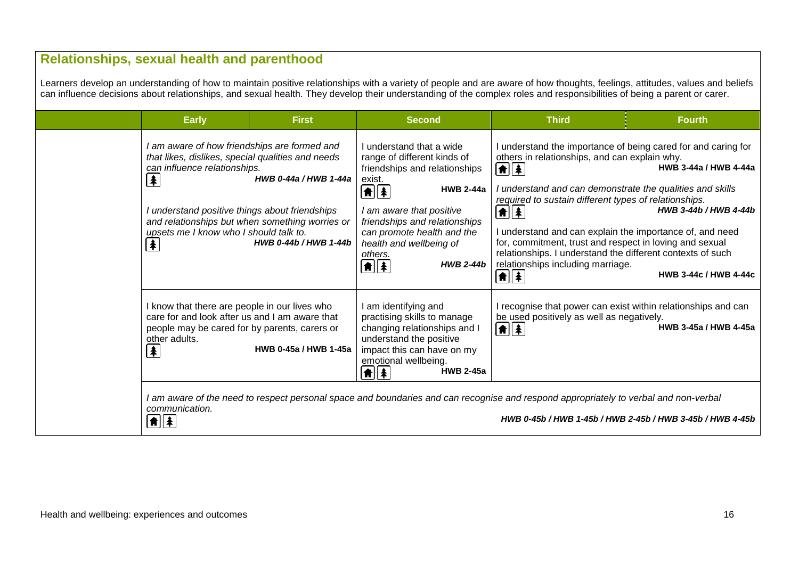## **Relationships, sexual health and parenthood**

Learners develop an understanding of how to maintain positive relationships with a variety of people and are aware of how thoughts, feelings, attitudes, values and beliefs can influence decisions about relationships, and sexual health. They develop their understanding of the complex roles and responsibilities of being a parent or carer.

| <b>Early</b>                                                                                                                                                                                                                                                                                                                                              | <b>First</b>                                   | <b>Second</b>                                                                                                                                                                                                                                                                                                                      | <b>Third</b>                                                                                                                                                                                                                                                                                                                                                                                                                                                                              | <b>Fourth</b>                                                                                                                            |
|-----------------------------------------------------------------------------------------------------------------------------------------------------------------------------------------------------------------------------------------------------------------------------------------------------------------------------------------------------------|------------------------------------------------|------------------------------------------------------------------------------------------------------------------------------------------------------------------------------------------------------------------------------------------------------------------------------------------------------------------------------------|-------------------------------------------------------------------------------------------------------------------------------------------------------------------------------------------------------------------------------------------------------------------------------------------------------------------------------------------------------------------------------------------------------------------------------------------------------------------------------------------|------------------------------------------------------------------------------------------------------------------------------------------|
| I am aware of how friendships are formed and<br>that likes, dislikes, special qualities and needs<br>can influence relationships.<br>$ \clubsuit $<br>I understand positive things about friendships<br>and relationships but when something worries or<br>upsets me I know who I should talk to.<br>$\left  \color{red} \clubsuit \color{black} \right $ | HWB 0-44a / HWB 1-44a<br>HWB 0-44b / HWB 1-44b | I understand that a wide<br>range of different kinds of<br>friendships and relationships<br>exist.<br><b>HWB 2-44a</b><br>$\boxed{\textbf{f}}$<br>I am aware that positive<br>friendships and relationships<br>can promote health and the<br>health and wellbeing of<br>others.<br><b>HWB 2-44b</b><br>$\left  \mathbf{f} \right $ | others in relationships, and can explain why.<br>$  \hat{\mathbf{n}}  \hat{\mathbf{x}}  $<br>I understand and can demonstrate the qualities and skills<br>required to sustain different types of relationships.<br>▲▲<br>I understand and can explain the importance of, and need<br>for, commitment, trust and respect in loving and sexual<br>relationships. I understand the different contexts of such<br>relationships including marriage.<br>$ \hat{\mathbf{n}}  \hat{\mathbf{z}} $ | I understand the importance of being cared for and caring for<br>HWB 3-44a / HWB 4-44a<br>HWB 3-44b / HWB 4-44b<br>HWB 3-44c / HWB 4-44c |
| I know that there are people in our lives who<br>care for and look after us and I am aware that<br>people may be cared for by parents, carers or<br>other adults.<br>$ \pmb{\ast} $                                                                                                                                                                       | HWB 0-45a / HWB 1-45a                          | I am identifying and<br>practising skills to manage<br>changing relationships and I<br>understand the positive<br>impact this can have on my<br>emotional wellbeing.<br><b>HWB 2-45a</b><br>$\left  \mathbf{f} \right $                                                                                                            | be used positively as well as negatively.<br>$  \hat{\mathbf{n}}  \hat{\mathbf{z}}  $                                                                                                                                                                                                                                                                                                                                                                                                     | I recognise that power can exist within relationships and can<br>HWB 3-45a / HWB 4-45a                                                   |
| I am aware of the need to respect personal space and boundaries and can recognise and respond appropriately to verbal and non-verbal<br>communication.<br>$\parallel \parallel \parallel \parallel$<br>HWB 0-45b / HWB 1-45b / HWB 2-45b / HWB 3-45b / HWB 4-45b                                                                                          |                                                |                                                                                                                                                                                                                                                                                                                                    |                                                                                                                                                                                                                                                                                                                                                                                                                                                                                           |                                                                                                                                          |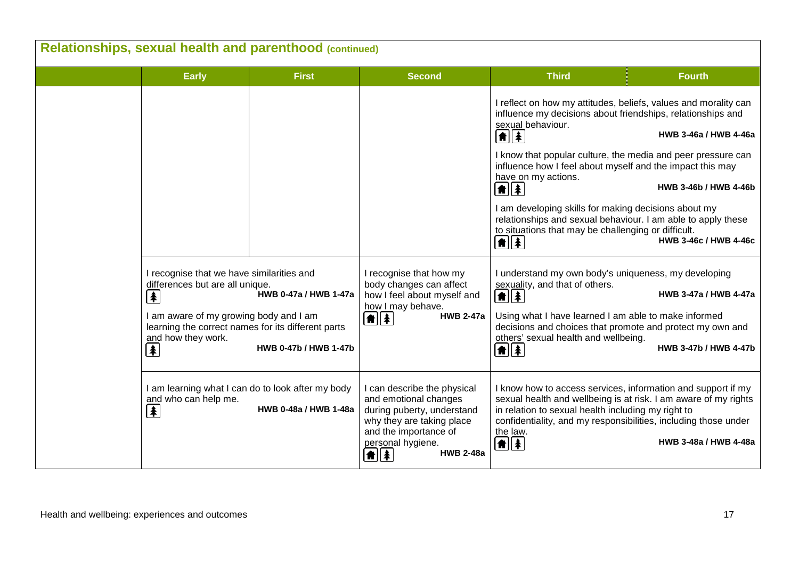| Relationships, sexual health and parenthood (continued) |                                                                                                                                                                                                                                                                                                                                                                                                                                                                 |              |                                                                                                                                                                                                                  |                                                                                                                                                                                                                                                                                                                                                                                                                                                                                                                                                                             |                                                                         |  |
|---------------------------------------------------------|-----------------------------------------------------------------------------------------------------------------------------------------------------------------------------------------------------------------------------------------------------------------------------------------------------------------------------------------------------------------------------------------------------------------------------------------------------------------|--------------|------------------------------------------------------------------------------------------------------------------------------------------------------------------------------------------------------------------|-----------------------------------------------------------------------------------------------------------------------------------------------------------------------------------------------------------------------------------------------------------------------------------------------------------------------------------------------------------------------------------------------------------------------------------------------------------------------------------------------------------------------------------------------------------------------------|-------------------------------------------------------------------------|--|
|                                                         | <b>Early</b>                                                                                                                                                                                                                                                                                                                                                                                                                                                    | <b>First</b> | <b>Second</b>                                                                                                                                                                                                    | <b>Third</b>                                                                                                                                                                                                                                                                                                                                                                                                                                                                                                                                                                | <b>Fourth</b>                                                           |  |
|                                                         |                                                                                                                                                                                                                                                                                                                                                                                                                                                                 |              |                                                                                                                                                                                                                  | I reflect on how my attitudes, beliefs, values and morality can<br>influence my decisions about friendships, relationships and<br>sexual behaviour.<br>$\boxed{\bullet}$<br>I know that popular culture, the media and peer pressure can<br>influence how I feel about myself and the impact this may<br>have on my actions.<br>$\left[ \frac{1}{2} \right]$<br>I am developing skills for making decisions about my<br>relationships and sexual behaviour. I am able to apply these<br>to situations that may be challenging or difficult.<br>$\left  \frac{1}{2} \right $ | HWB 3-46a / HWB 4-46a<br>HWB 3-46b / HWB 4-46b<br>HWB 3-46c / HWB 4-46c |  |
|                                                         | I recognise that we have similarities and<br>differences but are all unique.<br>$\left  \mathbf{\pmb{\ast}} \right $<br>HWB 0-47a / HWB 1-47a<br>I am aware of my growing body and I am<br>learning the correct names for its different parts<br>and how they work.<br>$\left  \color{red} \clubsuit \color{black} \right $<br>HWB 0-47b / HWB 1-47b<br>I am learning what I can do to look after my body<br>and who can help me.<br>HWB 0-48a / HWB 1-48a<br>t |              | I recognise that how my<br>body changes can affect<br>how I feel about myself and<br>how I may behave.<br><b>HWB 2-47a</b><br>$\left  \mathbf{f} \right $                                                        | I understand my own body's uniqueness, my developing<br>sexuality, and that of others.<br>$\boxed{\uparrow}$<br>Using what I have learned I am able to make informed<br>decisions and choices that promote and protect my own and<br>others' sexual health and wellbeing.<br>$\left  \mathbf{f} \right $                                                                                                                                                                                                                                                                    | HWB 3-47a / HWB 4-47a<br>HWB 3-47b / HWB 4-47b                          |  |
|                                                         |                                                                                                                                                                                                                                                                                                                                                                                                                                                                 |              | I can describe the physical<br>and emotional changes<br>during puberty, understand<br>why they are taking place<br>and the importance of<br>personal hygiene.<br><b>HWB 2-48a</b><br>$\left  \mathbf{f} \right $ | I know how to access services, information and support if my<br>sexual health and wellbeing is at risk. I am aware of my rights<br>in relation to sexual health including my right to<br>confidentiality, and my responsibilities, including those under<br>the law.<br>$\boxed{\bullet}$ $\boxed{\bullet}$                                                                                                                                                                                                                                                                 | HWB 3-48a / HWB 4-48a                                                   |  |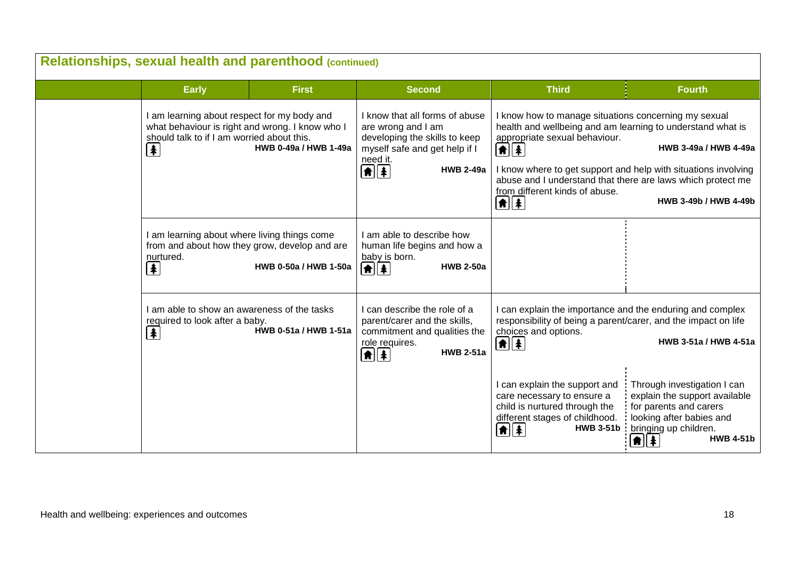| Relationships, sexual health and parenthood (continued) |                                                                                                                                                                                                            |                       |                                                                                                                                                                                                                   |                                                                                                                                                                                                                                                                                                                                               |                                                                                                                                                                                                            |  |
|---------------------------------------------------------|------------------------------------------------------------------------------------------------------------------------------------------------------------------------------------------------------------|-----------------------|-------------------------------------------------------------------------------------------------------------------------------------------------------------------------------------------------------------------|-----------------------------------------------------------------------------------------------------------------------------------------------------------------------------------------------------------------------------------------------------------------------------------------------------------------------------------------------|------------------------------------------------------------------------------------------------------------------------------------------------------------------------------------------------------------|--|
|                                                         | <b>Early</b>                                                                                                                                                                                               | <b>First</b>          | <b>Second</b>                                                                                                                                                                                                     | <b>Third</b>                                                                                                                                                                                                                                                                                                                                  | <b>Fourth</b>                                                                                                                                                                                              |  |
|                                                         | I am learning about respect for my body and<br>what behaviour is right and wrong. I know who I<br>should talk to if I am worried about this.<br>HWB 0-49a / HWB 1-49a<br>$\left  \mathbf{\pmb{*}} \right $ |                       | I know that all forms of abuse<br>are wrong and I am<br>developing the skills to keep<br>myself safe and get help if I<br>need it.<br>$\left  \textbf{f} \right $ $\left  \textbf{f} \right $<br><b>HWB 2-49a</b> | I know how to manage situations concerning my sexual<br>health and wellbeing and am learning to understand what is<br>appropriate sexual behaviour.<br>$  \hat{\mathbf{n}}  \hat{\mathbf{x}}  $<br>abuse and I understand that there are laws which protect me<br>from different kinds of abuse.<br>$\parallel \parallel \parallel \parallel$ | HWB 3-49a / HWB 4-49a<br>I know where to get support and help with situations involving<br>HWB 3-49b / HWB 4-49b                                                                                           |  |
|                                                         | I am learning about where living things come<br>from and about how they grow, develop and are<br>nurtured.<br>$\left  \mathbf{\pmb{\ast}} \right $                                                         | HWB 0-50a / HWB 1-50a | I am able to describe how<br>human life begins and how a<br>baby is born.<br>$\boxed{\uparrow}$ $\boxed{\uparrow}$<br><b>HWB 2-50a</b>                                                                            |                                                                                                                                                                                                                                                                                                                                               |                                                                                                                                                                                                            |  |
|                                                         | I am able to show an awareness of the tasks<br>required to look after a baby.<br>HWB 0-51a / HWB 1-51a<br>$\left  \mathbf{r} \right $                                                                      |                       | I can describe the role of a<br>parent/carer and the skills,<br>commitment and qualities the<br>role requires.<br><b>HWB 2-51a</b><br>$\left  \textbf{f} \right $                                                 | I can explain the importance and the enduring and complex<br>responsibility of being a parent/carer, and the impact on life<br>choices and options.<br>$  \hat{\bm{\pi}}  \hat{\bm{\ast}} $                                                                                                                                                   | HWB 3-51a / HWB 4-51a                                                                                                                                                                                      |  |
|                                                         |                                                                                                                                                                                                            |                       |                                                                                                                                                                                                                   | I can explain the support and<br>care necessary to ensure a<br>child is nurtured through the<br>different stages of childhood.<br>$  \hat{\mathbf{n}}  \hat{\mathbf{z}}  $                                                                                                                                                                    | Through investigation I can<br>explain the support available<br>for parents and carers<br>looking after babies and<br>HWB 3-51b   bringing up children.<br>$\left  \mathbf{f} \right $<br><b>HWB 4-51b</b> |  |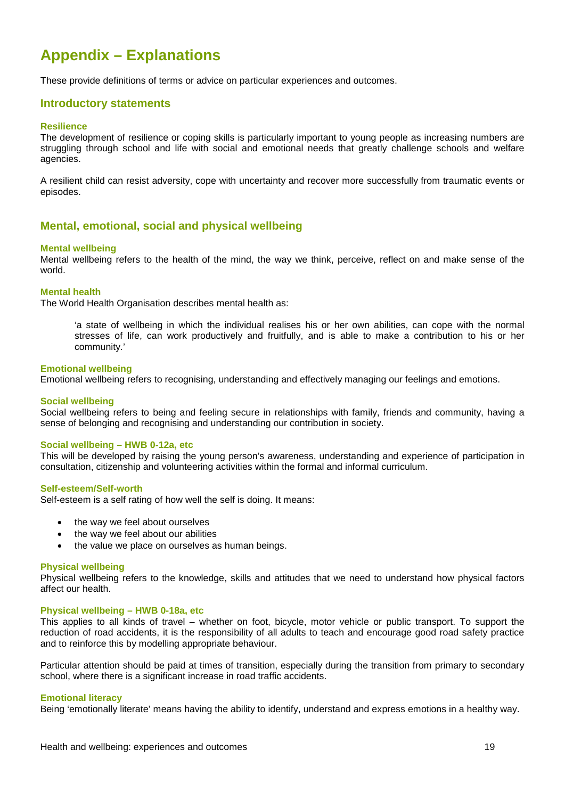# **Appendix – Explanations**

These provide definitions of terms or advice on particular experiences and outcomes.

#### **Introductory statements**

#### **Resilience**

The development of resilience or coping skills is particularly important to young people as increasing numbers are struggling through school and life with social and emotional needs that greatly challenge schools and welfare agencies.

A resilient child can resist adversity, cope with uncertainty and recover more successfully from traumatic events or episodes.

#### **Mental, emotional, social and physical wellbeing**

#### **Mental wellbeing**

Mental wellbeing refers to the health of the mind, the way we think, perceive, reflect on and make sense of the world.

#### **Mental health**

The World Health Organisation describes mental health as:

'a state of wellbeing in which the individual realises his or her own abilities, can cope with the normal stresses of life, can work productively and fruitfully, and is able to make a contribution to his or her community.'

#### **Emotional wellbeing**

Emotional wellbeing refers to recognising, understanding and effectively managing our feelings and emotions.

#### **Social wellbeing**

Social wellbeing refers to being and feeling secure in relationships with family, friends and community, having a sense of belonging and recognising and understanding our contribution in society.

#### **Social wellbeing – HWB 0-12a, etc**

This will be developed by raising the young person's awareness, understanding and experience of participation in consultation, citizenship and volunteering activities within the formal and informal curriculum.

#### **Self-esteem/Self-worth**

Self-esteem is a self rating of how well the self is doing. It means:

- the way we feel about ourselves
- the way we feel about our abilities
- the value we place on ourselves as human beings.

#### **Physical wellbeing**

Physical wellbeing refers to the knowledge, skills and attitudes that we need to understand how physical factors affect our health.

#### **Physical wellbeing – HWB 0-18a, etc**

This applies to all kinds of travel – whether on foot, bicycle, motor vehicle or public transport. To support the reduction of road accidents, it is the responsibility of all adults to teach and encourage good road safety practice and to reinforce this by modelling appropriate behaviour.

Particular attention should be paid at times of transition, especially during the transition from primary to secondary school, where there is a significant increase in road traffic accidents.

#### **Emotional literacy**

Being 'emotionally literate' means having the ability to identify, understand and express emotions in a healthy way.